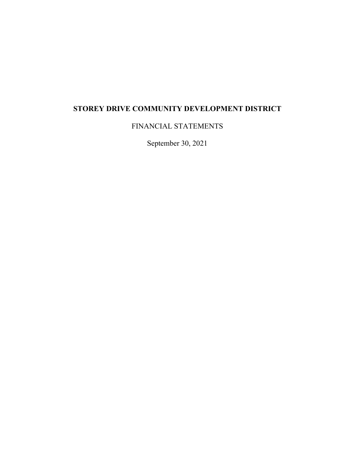FINANCIAL STATEMENTS

September 30, 2021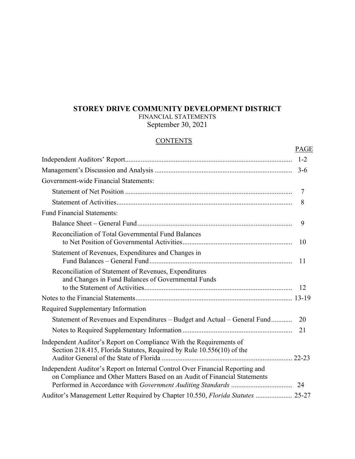# **STOREY DRIVE COMMUNITY DEVELOPMENT DISTRICT**  FINANCIAL STATEMENTS September 30, 2021

# **CONTENTS**

|                                                                                                                                                            | <b>PAGE</b> |
|------------------------------------------------------------------------------------------------------------------------------------------------------------|-------------|
|                                                                                                                                                            |             |
|                                                                                                                                                            |             |
| Government-wide Financial Statements:                                                                                                                      |             |
|                                                                                                                                                            | 7           |
|                                                                                                                                                            | 8           |
| <b>Fund Financial Statements:</b>                                                                                                                          |             |
|                                                                                                                                                            | 9           |
| Reconciliation of Total Governmental Fund Balances                                                                                                         | 10          |
| Statement of Revenues, Expenditures and Changes in                                                                                                         | 11          |
| Reconciliation of Statement of Revenues, Expenditures<br>and Changes in Fund Balances of Governmental Funds                                                | 12          |
|                                                                                                                                                            |             |
| Required Supplementary Information                                                                                                                         |             |
| Statement of Revenues and Expenditures - Budget and Actual - General Fund                                                                                  | 20          |
|                                                                                                                                                            | 21          |
| Independent Auditor's Report on Compliance With the Requirements of<br>Section 218.415, Florida Statutes, Required by Rule 10.556(10) of the               |             |
| Independent Auditor's Report on Internal Control Over Financial Reporting and<br>on Compliance and Other Matters Based on an Audit of Financial Statements |             |
| Auditor's Management Letter Required by Chapter 10.550, Florida Statutes  25-27                                                                            |             |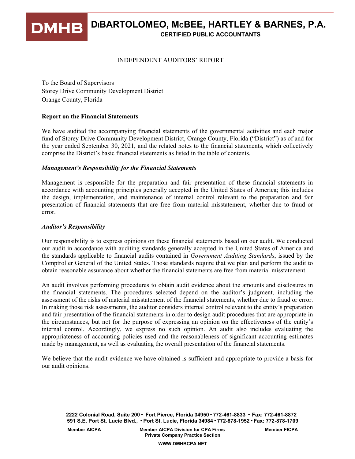**DMHB DIBARTOLOMEO, MCBEE, HARTLEY & BARNES, P.A. CERTIFIED PUBLIC ACCOUNTANTS**

#### INDEPENDENT AUDITORS' REPORT

To the Board of Supervisors Storey Drive Community Development District Orange County, Florida

#### **Report on the Financial Statements**

We have audited the accompanying financial statements of the governmental activities and each major fund of Storey Drive Community Development District, Orange County, Florida ("District") as of and for the year ended September 30, 2021, and the related notes to the financial statements, which collectively comprise the District's basic financial statements as listed in the table of contents.

#### *Management's Responsibility for the Financial Statements*

Management is responsible for the preparation and fair presentation of these financial statements in accordance with accounting principles generally accepted in the United States of America; this includes the design, implementation, and maintenance of internal control relevant to the preparation and fair presentation of financial statements that are free from material misstatement, whether due to fraud or error.

#### *Auditor's Responsibility*

Our responsibility is to express opinions on these financial statements based on our audit. We conducted our audit in accordance with auditing standards generally accepted in the United States of America and the standards applicable to financial audits contained in *Government Auditing Standards*, issued by the Comptroller General of the United States. Those standards require that we plan and perform the audit to obtain reasonable assurance about whether the financial statements are free from material misstatement.

An audit involves performing procedures to obtain audit evidence about the amounts and disclosures in the financial statements. The procedures selected depend on the auditor's judgment, including the assessment of the risks of material misstatement of the financial statements, whether due to fraud or error. In making those risk assessments, the auditor considers internal control relevant to the entity's preparation and fair presentation of the financial statements in order to design audit procedures that are appropriate in the circumstances, but not for the purpose of expressing an opinion on the effectiveness of the entity's internal control. Accordingly, we express no such opinion. An audit also includes evaluating the appropriateness of accounting policies used and the reasonableness of significant accounting estimates made by management, as well as evaluating the overall presentation of the financial statements.

We believe that the audit evidence we have obtained is sufficient and appropriate to provide a basis for our audit opinions.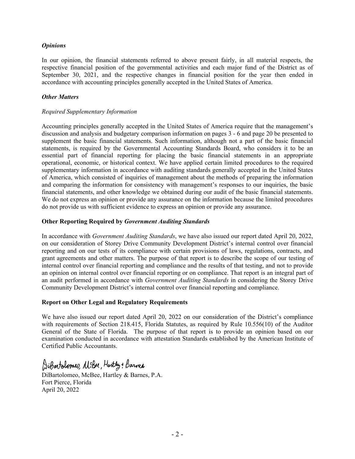#### *Opinions*

In our opinion, the financial statements referred to above present fairly, in all material respects, the respective financial position of the governmental activities and each major fund of the District as of September 30, 2021, and the respective changes in financial position for the year then ended in accordance with accounting principles generally accepted in the United States of America.

#### *Other Matters*

#### *Required Supplementary Information*

Accounting principles generally accepted in the United States of America require that the management's discussion and analysis and budgetary comparison information on pages 3 - 6 and page 20 be presented to supplement the basic financial statements. Such information, although not a part of the basic financial statements, is required by the Governmental Accounting Standards Board, who considers it to be an essential part of financial reporting for placing the basic financial statements in an appropriate operational, economic, or historical context. We have applied certain limited procedures to the required supplementary information in accordance with auditing standards generally accepted in the United States of America, which consisted of inquiries of management about the methods of preparing the information and comparing the information for consistency with management's responses to our inquiries, the basic financial statements, and other knowledge we obtained during our audit of the basic financial statements. We do not express an opinion or provide any assurance on the information because the limited procedures do not provide us with sufficient evidence to express an opinion or provide any assurance.

#### **Other Reporting Required by** *Government Auditing Standards*

In accordance with *Government Auditing Standards*, we have also issued our report dated April 20, 2022, on our consideration of Storey Drive Community Development District's internal control over financial reporting and on our tests of its compliance with certain provisions of laws, regulations, contracts, and grant agreements and other matters. The purpose of that report is to describe the scope of our testing of internal control over financial reporting and compliance and the results of that testing, and not to provide an opinion on internal control over financial reporting or on compliance. That report is an integral part of an audit performed in accordance with *Government Auditing Standards* in considering the Storey Drive Community Development District's internal control over financial reporting and compliance.

#### **Report on Other Legal and Regulatory Requirements**

We have also issued our report dated April 20, 2022 on our consideration of the District's compliance with requirements of Section 218.415, Florida Statutes, as required by Rule 10.556(10) of the Auditor General of the State of Florida. The purpose of that report is to provide an opinion based on our examination conducted in accordance with attestation Standards established by the American Institute of Certified Public Accountants.

SiBartolomeo, U.Bu, Hartley & Barres

DiBartolomeo, McBee, Hartley & Barnes, P.A. Fort Pierce, Florida April 20, 2022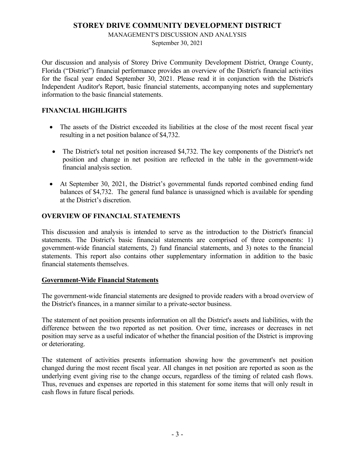#### MANAGEMENT'S DISCUSSION AND ANALYSIS

September 30, 2021

Our discussion and analysis of Storey Drive Community Development District, Orange County, Florida ("District") financial performance provides an overview of the District's financial activities for the fiscal year ended September 30, 2021. Please read it in conjunction with the District's Independent Auditor's Report, basic financial statements, accompanying notes and supplementary information to the basic financial statements.

# **FINANCIAL HIGHLIGHTS**

- The assets of the District exceeded its liabilities at the close of the most recent fiscal year resulting in a net position balance of \$4,732.
- The District's total net position increased \$4,732. The key components of the District's net position and change in net position are reflected in the table in the government-wide financial analysis section.
- At September 30, 2021, the District's governmental funds reported combined ending fund balances of \$4,732. The general fund balance is unassigned which is available for spending at the District's discretion.

# **OVERVIEW OF FINANCIAL STATEMENTS**

This discussion and analysis is intended to serve as the introduction to the District's financial statements. The District's basic financial statements are comprised of three components: 1) government-wide financial statements, 2) fund financial statements, and 3) notes to the financial statements. This report also contains other supplementary information in addition to the basic financial statements themselves.

# **Government-Wide Financial Statements**

The government-wide financial statements are designed to provide readers with a broad overview of the District's finances, in a manner similar to a private-sector business.

The statement of net position presents information on all the District's assets and liabilities, with the difference between the two reported as net position. Over time, increases or decreases in net position may serve as a useful indicator of whether the financial position of the District is improving or deteriorating.

The statement of activities presents information showing how the government's net position changed during the most recent fiscal year. All changes in net position are reported as soon as the underlying event giving rise to the change occurs, regardless of the timing of related cash flows. Thus, revenues and expenses are reported in this statement for some items that will only result in cash flows in future fiscal periods.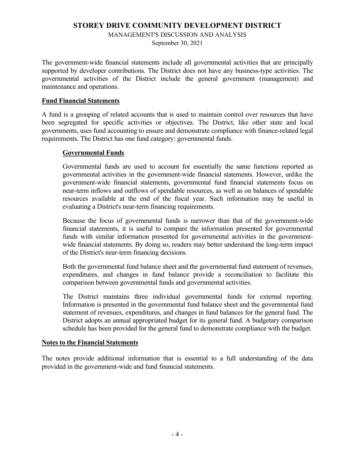#### MANAGEMENT'S DISCUSSION AND ANALYSIS

September 30, 2021

The government-wide financial statements include all governmental activities that are principally supported by developer contributions. The District does not have any business-type activities. The governmental activities of the District include the general government (management) and maintenance and operations.

## **Fund Financial Statements**

A fund is a grouping of related accounts that is used to maintain control over resources that have been segregated for specific activities or objectives. The District, like other state and local governments, uses fund accounting to ensure and demonstrate compliance with finance-related legal requirements. The District has one fund category: governmental funds.

#### **Governmental Funds**

Governmental funds are used to account for essentially the same functions reported as governmental activities in the government-wide financial statements. However, unlike the government-wide financial statements, governmental fund financial statements focus on near-term inflows and outflows of spendable resources, as well as on balances of spendable resources available at the end of the fiscal year. Such information may be useful in evaluating a District's near-term financing requirements.

Because the focus of governmental funds is narrower than that of the government-wide financial statements, it is useful to compare the information presented for governmental funds with similar information presented for governmental activities in the governmentwide financial statements. By doing so, readers may better understand the long-term impact of the District's near-term financing decisions.

Both the governmental fund balance sheet and the governmental fund statement of revenues, expenditures, and changes in fund balance provide a reconciliation to facilitate this comparison between governmental funds and governmental activities.

The District maintains three individual governmental funds for external reporting. Information is presented in the governmental fund balance sheet and the governmental fund statement of revenues, expenditures, and changes in fund balances for the general fund. The District adopts an annual appropriated budget for its general fund. A budgetary comparison schedule has been provided for the general fund to demonstrate compliance with the budget.

#### **Notes to the Financial Statements**

The notes provide additional information that is essential to a full understanding of the data provided in the government-wide and fund financial statements.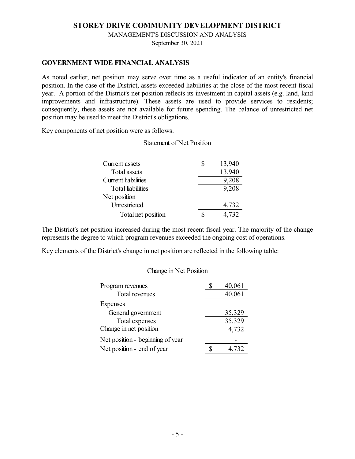MANAGEMENT'S DISCUSSION AND ANALYSIS

September 30, 2021

## **GOVERNMENT WIDE FINANCIAL ANALYSIS**

As noted earlier, net position may serve over time as a useful indicator of an entity's financial position. In the case of the District, assets exceeded liabilities at the close of the most recent fiscal year. A portion of the District's net position reflects its investment in capital assets (e.g. land, land improvements and infrastructure). These assets are used to provide services to residents; consequently, these assets are not available for future spending. The balance of unrestricted net position may be used to meet the District's obligations.

Key components of net position were as follows:

Statement of Net Position

| Current assets           | 13,940 |
|--------------------------|--------|
| Total assets             | 13,940 |
| Current liabilities      | 9,208  |
| <b>Total liabilities</b> | 9,208  |
| Net position             |        |
| Unrestricted             | 4,732  |
| Total net position       | 4,732  |

The District's net position increased during the most recent fiscal year. The majority of the change represents the degree to which program revenues exceeded the ongoing cost of operations.

Key elements of the District's change in net position are reflected in the following table:

#### Change in Net Position

| Program revenues                 | 40,061 |
|----------------------------------|--------|
| Total revenues                   | 40,061 |
| <b>Expenses</b>                  |        |
| General government               | 35,329 |
| Total expenses                   | 35,329 |
| Change in net position           | 4,732  |
| Net position - beginning of year |        |
| Net position - end of year       | 4,732  |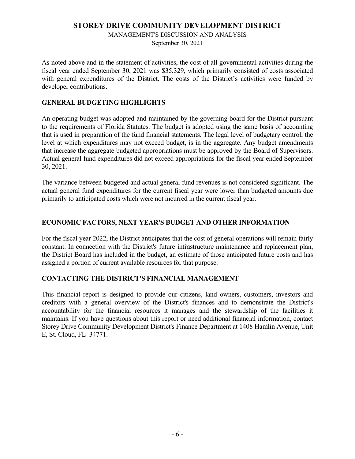#### MANAGEMENT'S DISCUSSION AND ANALYSIS

September 30, 2021

As noted above and in the statement of activities, the cost of all governmental activities during the fiscal year ended September 30, 2021 was \$35,329, which primarily consisted of costs associated with general expenditures of the District. The costs of the District's activities were funded by developer contributions.

# **GENERAL BUDGETING HIGHLIGHTS**

An operating budget was adopted and maintained by the governing board for the District pursuant to the requirements of Florida Statutes. The budget is adopted using the same basis of accounting that is used in preparation of the fund financial statements. The legal level of budgetary control, the level at which expenditures may not exceed budget, is in the aggregate. Any budget amendments that increase the aggregate budgeted appropriations must be approved by the Board of Supervisors. Actual general fund expenditures did not exceed appropriations for the fiscal year ended September 30, 2021.

The variance between budgeted and actual general fund revenues is not considered significant. The actual general fund expenditures for the current fiscal year were lower than budgeted amounts due primarily to anticipated costs which were not incurred in the current fiscal year.

# **ECONOMIC FACTORS, NEXT YEAR'S BUDGET AND OTHER INFORMATION**

For the fiscal year 2022, the District anticipates that the cost of general operations will remain fairly constant. In connection with the District's future infrastructure maintenance and replacement plan, the District Board has included in the budget, an estimate of those anticipated future costs and has assigned a portion of current available resources for that purpose.

## **CONTACTING THE DISTRICT'S FINANCIAL MANAGEMENT**

This financial report is designed to provide our citizens, land owners, customers, investors and creditors with a general overview of the District's finances and to demonstrate the District's accountability for the financial resources it manages and the stewardship of the facilities it maintains. If you have questions about this report or need additional financial information, contact Storey Drive Community Development District's Finance Department at 1408 Hamlin Avenue, Unit E, St. Cloud, FL 34771.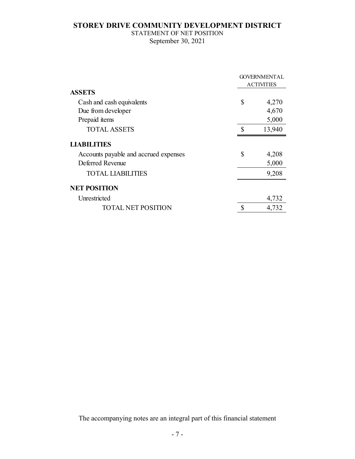# STATEMENT OF NET POSITION September 30, 2021

|                                       | <b>GOVERNMENTAL</b> |                   |
|---------------------------------------|---------------------|-------------------|
|                                       |                     | <b>ACTIVITIES</b> |
| <b>ASSETS</b>                         |                     |                   |
| Cash and cash equivalents             | \$                  | 4,270             |
| Due from developer                    |                     | 4,670             |
| Prepaid items                         |                     | 5,000             |
| <b>TOTAL ASSETS</b>                   | S                   | 13,940            |
| <b>LIABILITIES</b>                    |                     |                   |
| Accounts payable and accrued expenses | \$                  | 4,208             |
| Deferred Revenue                      |                     | 5,000             |
| <b>TOTAL LIABILITIES</b>              |                     | 9,208             |
| <b>NET POSITION</b>                   |                     |                   |
| Unrestricted                          |                     | 4,732             |
| <b>TOTAL NET POSITION</b>             | \$                  | 4,732             |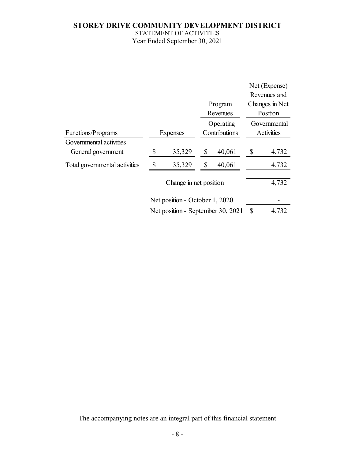# STATEMENT OF ACTIVITIES Year Ended September 30, 2021

|                               |                                   |                        |    |                            |       | Net (Expense)<br>Revenues and |
|-------------------------------|-----------------------------------|------------------------|----|----------------------------|-------|-------------------------------|
|                               |                                   |                        |    | Program<br>Revenues        |       | Changes in Net<br>Position    |
| Functions/Programs            |                                   | Expenses               |    | Operating<br>Contributions |       | Governmental<br>Activities    |
| Governmental activities       |                                   |                        |    |                            |       |                               |
| General government            | \$                                | 35,329                 | \$ | 40,061                     | \$    | 4,732                         |
| Total governmental activities | S                                 | 35,329                 | \$ | 40,061                     |       | 4,732                         |
|                               |                                   |                        |    |                            |       |                               |
|                               |                                   | Change in net position |    |                            |       | 4,732                         |
|                               | Net position - October 1, 2020    |                        |    |                            |       |                               |
|                               | Net position - September 30, 2021 |                        |    | S                          | 4,732 |                               |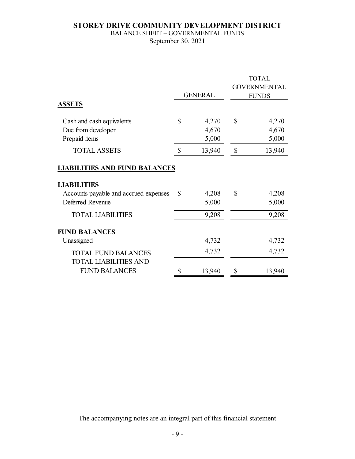# BALANCE SHEET – GOVERNMENTAL FUNDS

September 30, 2021

|                                       |               |                | <b>TOTAL</b><br><b>GOVERNMENTAL</b> |
|---------------------------------------|---------------|----------------|-------------------------------------|
| <b>ASSETS</b>                         |               | <b>GENERAL</b> | <b>FUNDS</b>                        |
|                                       |               |                |                                     |
| Cash and cash equivalents             | \$            | 4,270          | \$<br>4,270                         |
| Due from developer                    |               | 4,670          | 4,670                               |
| Prepaid items                         |               | 5,000          | 5,000                               |
| <b>TOTAL ASSETS</b>                   | $\mathcal{S}$ | 13,940         | \$<br>13,940                        |
| <b>LIABILITIES AND FUND BALANCES</b>  |               |                |                                     |
| <b>LIABILITIES</b>                    |               |                |                                     |
| Accounts payable and accrued expenses | \$            | 4,208          | \$<br>4,208                         |
| Deferred Revenue                      |               | 5,000          | 5,000                               |
| <b>TOTAL LIABILITIES</b>              |               | 9,208          | 9,208                               |
| <b>FUND BALANCES</b>                  |               |                |                                     |
| Unassigned                            |               | 4,732          | 4,732                               |
| <b>TOTAL FUND BALANCES</b>            |               | 4,732          | 4,732                               |
| <b>TOTAL LIABILITIES AND</b>          |               |                |                                     |
| <b>FUND BALANCES</b>                  | \$            | 13,940         | \$<br>13,940                        |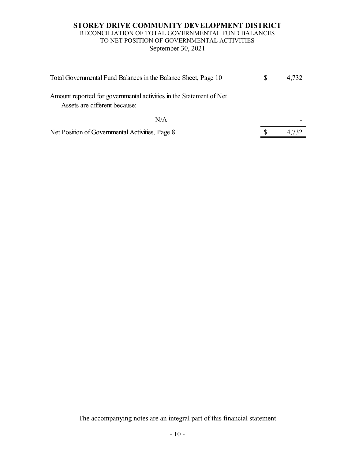## **STOREY DRIVE COMMUNITY DEVELOPMENT DISTRICT**  RECONCILIATION OF TOTAL GOVERNMENTAL FUND BALANCES TO NET POSITION OF GOVERNMENTAL ACTIVITIES September 30, 2021

| Total Governmental Fund Balances in the Balance Sheet, Page 10                                       | <sup>S</sup> | 4,732 |
|------------------------------------------------------------------------------------------------------|--------------|-------|
| Amount reported for governmental activities in the Statement of Net<br>Assets are different because: |              |       |
| N/A                                                                                                  |              |       |
| Net Position of Governmental Activities, Page 8                                                      |              | 4.732 |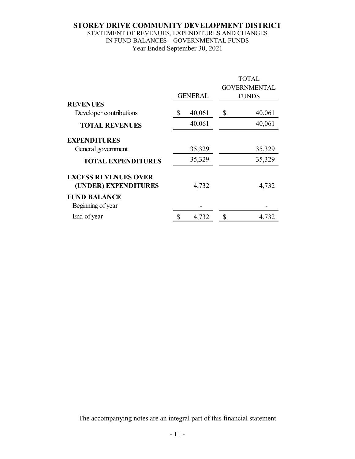### STATEMENT OF REVENUES, EXPENDITURES AND CHANGES IN FUND BALANCES – GOVERNMENTAL FUNDS Year Ended September 30, 2021

|                                                     |  |                |                     | TOTAL  |  |  |
|-----------------------------------------------------|--|----------------|---------------------|--------|--|--|
|                                                     |  |                | <b>GOVERNMENTAL</b> |        |  |  |
|                                                     |  | <b>GENERAL</b> | <b>FUNDS</b>        |        |  |  |
| <b>REVENUES</b>                                     |  |                |                     |        |  |  |
| Developer contributions                             |  | 40,061         | $\mathbb{S}$        | 40,061 |  |  |
| <b>TOTAL REVENUES</b>                               |  | 40,061         |                     | 40,061 |  |  |
| <b>EXPENDITURES</b>                                 |  |                |                     |        |  |  |
| General government                                  |  | 35,329         |                     | 35,329 |  |  |
| <b>TOTAL EXPENDITURES</b>                           |  | 35,329         |                     | 35,329 |  |  |
| <b>EXCESS REVENUES OVER</b><br>(UNDER) EXPENDITURES |  | 4,732          |                     | 4,732  |  |  |
| <b>FUND BALANCE</b>                                 |  |                |                     |        |  |  |
| Beginning of year                                   |  |                |                     |        |  |  |
| End of year                                         |  | 4,732          |                     | 4,732  |  |  |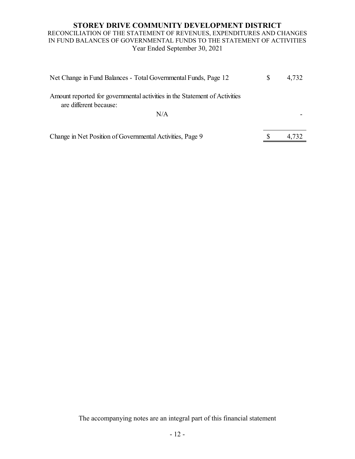## **STOREY DRIVE COMMUNITY DEVELOPMENT DISTRICT**  RECONCILIATION OF THE STATEMENT OF REVENUES, EXPENDITURES AND CHANGES IN FUND BALANCES OF GOVERNMENTAL FUNDS TO THE STATEMENT OF ACTIVITIES Year Ended September 30, 2021

| Net Change in Fund Balances - Total Governmental Funds, Page 12                                      | 4,732 |
|------------------------------------------------------------------------------------------------------|-------|
| Amount reported for governmental activities in the Statement of Activities<br>are different because: |       |
| N/A                                                                                                  |       |
| Change in Net Position of Governmental Activities, Page 9                                            | 4.732 |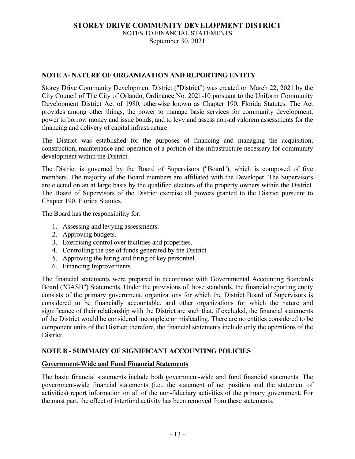NOTES TO FINANCIAL STATEMENTS September 30, 2021

## **NOTE A- NATURE OF ORGANIZATION AND REPORTING ENTITY**

Storey Drive Community Development District ("District") was created on March 22, 2021 by the City Council of The City of Orlando, Ordinance No. 2021-10 pursuant to the Uniform Community Development District Act of 1980, otherwise known as Chapter 190, Florida Statutes. The Act provides among other things, the power to manage basic services for community development, power to borrow money and issue bonds, and to levy and assess non-ad valorem assessments for the financing and delivery of capital infrastructure.

The District was established for the purposes of financing and managing the acquisition, construction, maintenance and operation of a portion of the infrastructure necessary for community development within the District.

The District is governed by the Board of Supervisors ("Board"), which is composed of five members. The majority of the Board members are affiliated with the Developer. The Supervisors are elected on an at large basis by the qualified electors of the property owners within the District. The Board of Supervisors of the District exercise all powers granted to the District pursuant to Chapter 190, Florida Statutes.

The Board has the responsibility for:

- 1. Assessing and levying assessments.
- 2. Approving budgets.
- 3. Exercising control over facilities and properties.
- 4. Controlling the use of funds generated by the District.
- 5. Approving the hiring and firing of key personnel.
- 6. Financing Improvements.

The financial statements were prepared in accordance with Governmental Accounting Standards Board ("GASB") Statements. Under the provisions of those standards, the financial reporting entity consists of the primary government, organizations for which the District Board of Supervisors is considered to be financially accountable, and other organizations for which the nature and significance of their relationship with the District are such that, if excluded, the financial statements of the District would be considered incomplete or misleading. There are no entities considered to be component units of the District; therefore, the financial statements include only the operations of the District.

## **NOTE B - SUMMARY OF SIGNIFICANT ACCOUNTING POLICIES**

## **Government-Wide and Fund Financial Statements**

The basic financial statements include both government-wide and fund financial statements. The government-wide financial statements (i.e., the statement of net position and the statement of activities) report information on all of the non-fiduciary activities of the primary government. For the most part, the effect of interfund activity has been removed from these statements.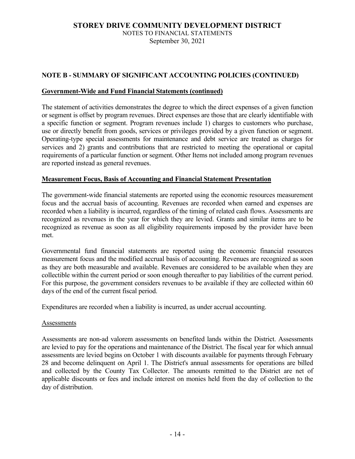NOTES TO FINANCIAL STATEMENTS September 30, 2021

# **NOTE B - SUMMARY OF SIGNIFICANT ACCOUNTING POLICIES (CONTINUED)**

### **Government-Wide and Fund Financial Statements (continued)**

The statement of activities demonstrates the degree to which the direct expenses of a given function or segment is offset by program revenues. Direct expenses are those that are clearly identifiable with a specific function or segment. Program revenues include 1) charges to customers who purchase, use or directly benefit from goods, services or privileges provided by a given function or segment. Operating-type special assessments for maintenance and debt service are treated as charges for services and 2) grants and contributions that are restricted to meeting the operational or capital requirements of a particular function or segment. Other Items not included among program revenues are reported instead as general revenues.

## **Measurement Focus, Basis of Accounting and Financial Statement Presentation**

The government-wide financial statements are reported using the economic resources measurement focus and the accrual basis of accounting. Revenues are recorded when earned and expenses are recorded when a liability is incurred, regardless of the timing of related cash flows. Assessments are recognized as revenues in the year for which they are levied. Grants and similar items are to be recognized as revenue as soon as all eligibility requirements imposed by the provider have been met.

Governmental fund financial statements are reported using the economic financial resources measurement focus and the modified accrual basis of accounting. Revenues are recognized as soon as they are both measurable and available. Revenues are considered to be available when they are collectible within the current period or soon enough thereafter to pay liabilities of the current period. For this purpose, the government considers revenues to be available if they are collected within 60 days of the end of the current fiscal period.

Expenditures are recorded when a liability is incurred, as under accrual accounting.

#### **Assessments**

Assessments are non-ad valorem assessments on benefited lands within the District. Assessments are levied to pay for the operations and maintenance of the District. The fiscal year for which annual assessments are levied begins on October 1 with discounts available for payments through February 28 and become delinquent on April 1. The District's annual assessments for operations are billed and collected by the County Tax Collector. The amounts remitted to the District are net of applicable discounts or fees and include interest on monies held from the day of collection to the day of distribution.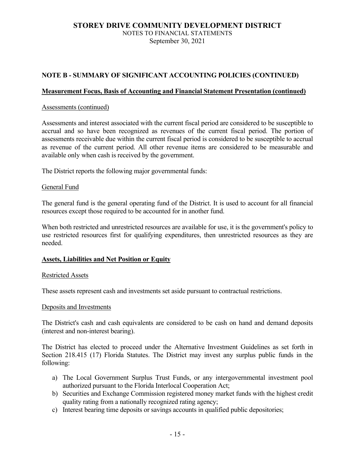## NOTES TO FINANCIAL STATEMENTS September 30, 2021

# **NOTE B - SUMMARY OF SIGNIFICANT ACCOUNTING POLICIES (CONTINUED)**

## **Measurement Focus, Basis of Accounting and Financial Statement Presentation (continued)**

#### Assessments (continued)

Assessments and interest associated with the current fiscal period are considered to be susceptible to accrual and so have been recognized as revenues of the current fiscal period. The portion of assessments receivable due within the current fiscal period is considered to be susceptible to accrual as revenue of the current period. All other revenue items are considered to be measurable and available only when cash is received by the government.

The District reports the following major governmental funds:

## General Fund

The general fund is the general operating fund of the District. It is used to account for all financial resources except those required to be accounted for in another fund.

When both restricted and unrestricted resources are available for use, it is the government's policy to use restricted resources first for qualifying expenditures, then unrestricted resources as they are needed.

## **Assets, Liabilities and Net Position or Equity**

#### Restricted Assets

These assets represent cash and investments set aside pursuant to contractual restrictions.

#### Deposits and Investments

The District's cash and cash equivalents are considered to be cash on hand and demand deposits (interest and non-interest bearing).

The District has elected to proceed under the Alternative Investment Guidelines as set forth in Section 218.415 (17) Florida Statutes. The District may invest any surplus public funds in the following:

- a) The Local Government Surplus Trust Funds, or any intergovernmental investment pool authorized pursuant to the Florida Interlocal Cooperation Act;
- b) Securities and Exchange Commission registered money market funds with the highest credit quality rating from a nationally recognized rating agency;
- c) Interest bearing time deposits or savings accounts in qualified public depositories;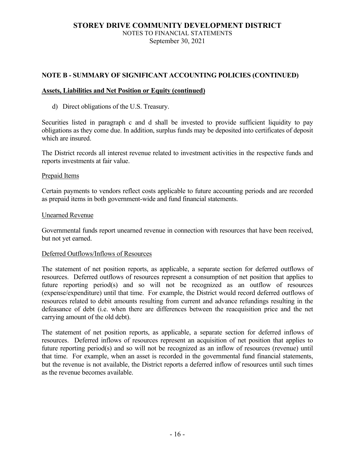# **STOREY DRIVE COMMUNITY DEVELOPMENT DISTRICT**  NOTES TO FINANCIAL STATEMENTS

September 30, 2021

# **NOTE B - SUMMARY OF SIGNIFICANT ACCOUNTING POLICIES (CONTINUED)**

## **Assets, Liabilities and Net Position or Equity (continued)**

d) Direct obligations of the U.S. Treasury.

Securities listed in paragraph c and d shall be invested to provide sufficient liquidity to pay obligations as they come due. In addition, surplus funds may be deposited into certificates of deposit which are insured.

The District records all interest revenue related to investment activities in the respective funds and reports investments at fair value.

## Prepaid Items

Certain payments to vendors reflect costs applicable to future accounting periods and are recorded as prepaid items in both government-wide and fund financial statements.

## Unearned Revenue

Governmental funds report unearned revenue in connection with resources that have been received, but not yet earned.

## Deferred Outflows/Inflows of Resources

The statement of net position reports, as applicable, a separate section for deferred outflows of resources. Deferred outflows of resources represent a consumption of net position that applies to future reporting period(s) and so will not be recognized as an outflow of resources (expense/expenditure) until that time. For example, the District would record deferred outflows of resources related to debit amounts resulting from current and advance refundings resulting in the defeasance of debt (i.e. when there are differences between the reacquisition price and the net carrying amount of the old debt).

The statement of net position reports, as applicable, a separate section for deferred inflows of resources. Deferred inflows of resources represent an acquisition of net position that applies to future reporting period(s) and so will not be recognized as an inflow of resources (revenue) until that time. For example, when an asset is recorded in the governmental fund financial statements, but the revenue is not available, the District reports a deferred inflow of resources until such times as the revenue becomes available.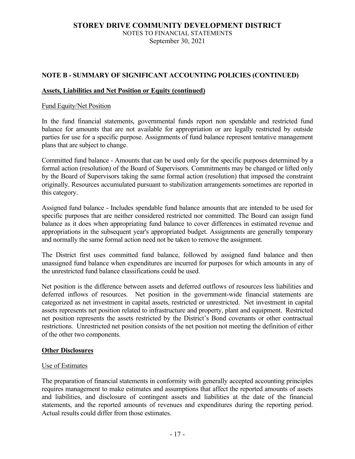NOTES TO FINANCIAL STATEMENTS September 30, 2021

# **NOTE B - SUMMARY OF SIGNIFICANT ACCOUNTING POLICIES (CONTINUED)**

## **Assets, Liabilities and Net Position or Equity (continued)**

### Fund Equity/Net Position

In the fund financial statements, governmental funds report non spendable and restricted fund balance for amounts that are not available for appropriation or are legally restricted by outside parties for use for a specific purpose. Assignments of fund balance represent tentative management plans that are subject to change.

Committed fund balance - Amounts that can be used only for the specific purposes determined by a formal action (resolution) of the Board of Supervisors. Commitments may be changed or lifted only by the Board of Supervisors taking the same formal action (resolution) that imposed the constraint originally. Resources accumulated pursuant to stabilization arrangements sometimes are reported in this category.

Assigned fund balance - Includes spendable fund balance amounts that are intended to be used for specific purposes that are neither considered restricted nor committed. The Board can assign fund balance as it does when appropriating fund balance to cover differences in estimated revenue and appropriations in the subsequent year's appropriated budget. Assignments are generally temporary and normally the same formal action need not be taken to remove the assignment.

The District first uses committed fund balance, followed by assigned fund balance and then unassigned fund balance when expenditures are incurred for purposes for which amounts in any of the unrestricted fund balance classifications could be used.

Net position is the difference between assets and deferred outflows of resources less liabilities and deferred inflows of resources. Net position in the government-wide financial statements are categorized as net investment in capital assets, restricted or unrestricted. Net investment in capital assets represents net position related to infrastructure and property, plant and equipment. Restricted net position represents the assets restricted by the District's Bond covenants or other contractual restrictions. Unrestricted net position consists of the net position not meeting the definition of either of the other two components.

## **Other Disclosures**

## Use of Estimates

The preparation of financial statements in conformity with generally accepted accounting principles requires management to make estimates and assumptions that affect the reported amounts of assets and liabilities, and disclosure of contingent assets and liabilities at the date of the financial statements, and the reported amounts of revenues and expenditures during the reporting period. Actual results could differ from those estimates.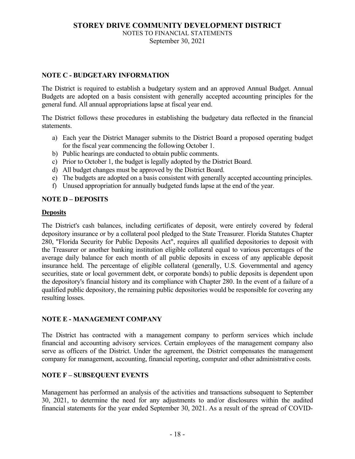NOTES TO FINANCIAL STATEMENTS September 30, 2021

# **NOTE C - BUDGETARY INFORMATION**

The District is required to establish a budgetary system and an approved Annual Budget. Annual Budgets are adopted on a basis consistent with generally accepted accounting principles for the general fund. All annual appropriations lapse at fiscal year end.

The District follows these procedures in establishing the budgetary data reflected in the financial statements.

- a) Each year the District Manager submits to the District Board a proposed operating budget for the fiscal year commencing the following October 1.
- b) Public hearings are conducted to obtain public comments.
- c) Prior to October 1, the budget is legally adopted by the District Board.
- d) All budget changes must be approved by the District Board.
- e) The budgets are adopted on a basis consistent with generally accepted accounting principles.
- f) Unused appropriation for annually budgeted funds lapse at the end of the year.

## **NOTE D – DEPOSITS**

#### **Deposits**

The District's cash balances, including certificates of deposit, were entirely covered by federal depository insurance or by a collateral pool pledged to the State Treasurer. Florida Statutes Chapter 280, "Florida Security for Public Deposits Act", requires all qualified depositories to deposit with the Treasurer or another banking institution eligible collateral equal to various percentages of the average daily balance for each month of all public deposits in excess of any applicable deposit insurance held. The percentage of eligible collateral (generally, U.S. Governmental and agency securities, state or local government debt, or corporate bonds) to public deposits is dependent upon the depository's financial history and its compliance with Chapter 280. In the event of a failure of a qualified public depository, the remaining public depositories would be responsible for covering any resulting losses.

## **NOTE E - MANAGEMENT COMPANY**

The District has contracted with a management company to perform services which include financial and accounting advisory services. Certain employees of the management company also serve as officers of the District. Under the agreement, the District compensates the management company for management, accounting, financial reporting, computer and other administrative costs.

# **NOTE F – SUBSEQUENT EVENTS**

Management has performed an analysis of the activities and transactions subsequent to September 30, 2021, to determine the need for any adjustments to and/or disclosures within the audited financial statements for the year ended September 30, 2021. As a result of the spread of COVID-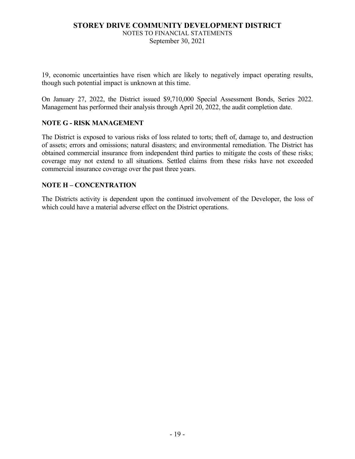# NOTES TO FINANCIAL STATEMENTS

September 30, 2021

19, economic uncertainties have risen which are likely to negatively impact operating results, though such potential impact is unknown at this time.

On January 27, 2022, the District issued \$9,710,000 Special Assessment Bonds, Series 2022. Management has performed their analysis through April 20, 2022, the audit completion date.

# **NOTE G - RISK MANAGEMENT**

The District is exposed to various risks of loss related to torts; theft of, damage to, and destruction of assets; errors and omissions; natural disasters; and environmental remediation. The District has obtained commercial insurance from independent third parties to mitigate the costs of these risks; coverage may not extend to all situations. Settled claims from these risks have not exceeded commercial insurance coverage over the past three years.

# **NOTE H – CONCENTRATION**

The Districts activity is dependent upon the continued involvement of the Developer, the loss of which could have a material adverse effect on the District operations.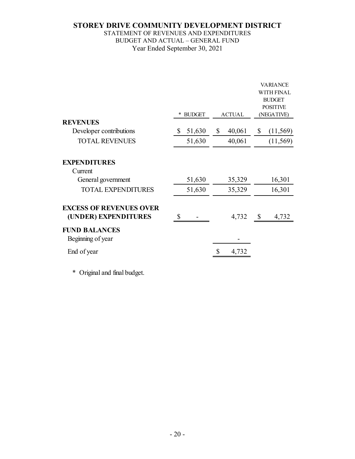#### STATEMENT OF REVENUES AND EXPENDITURES BUDGET AND ACTUAL – GENERAL FUND Year Ended September 30, 2021

|                                                                                   | <b>BUDGET</b><br>* | <b>ACTUAL</b>    | <b>VARIANCE</b><br><b>WITH FINAL</b><br><b>BUDGET</b><br><b>POSITIVE</b><br>(NEGATIVE) |
|-----------------------------------------------------------------------------------|--------------------|------------------|----------------------------------------------------------------------------------------|
| <b>REVENUES</b>                                                                   |                    |                  |                                                                                        |
| Developer contributions                                                           | 51,630<br>\$       | \$<br>40,061     | \$<br>(11, 569)                                                                        |
| <b>TOTAL REVENUES</b>                                                             | 51,630             | 40,061           | (11, 569)                                                                              |
| <b>EXPENDITURES</b><br>Current<br>General government<br><b>TOTAL EXPENDITURES</b> | 51,630<br>51,630   | 35,329<br>35,329 | 16,301<br>16,301                                                                       |
| <b>EXCESS OF REVENUES OVER</b><br>(UNDER) EXPENDITURES                            | \$                 | 4,732            | \$<br>4,732                                                                            |
| <b>FUND BALANCES</b><br>Beginning of year                                         |                    |                  |                                                                                        |
| End of year                                                                       |                    | 4,732            |                                                                                        |

\* Original and final budget.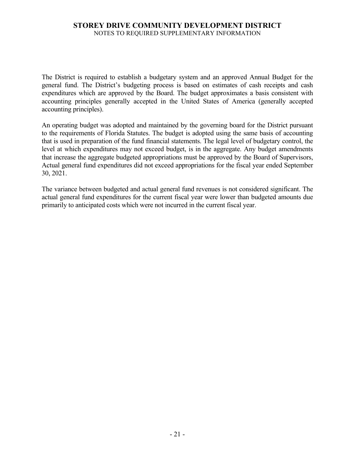# **STOREY DRIVE COMMUNITY DEVELOPMENT DISTRICT**  NOTES TO REQUIRED SUPPLEMENTARY INFORMATION

The District is required to establish a budgetary system and an approved Annual Budget for the general fund. The District's budgeting process is based on estimates of cash receipts and cash expenditures which are approved by the Board. The budget approximates a basis consistent with accounting principles generally accepted in the United States of America (generally accepted accounting principles).

An operating budget was adopted and maintained by the governing board for the District pursuant to the requirements of Florida Statutes. The budget is adopted using the same basis of accounting that is used in preparation of the fund financial statements. The legal level of budgetary control, the level at which expenditures may not exceed budget, is in the aggregate. Any budget amendments that increase the aggregate budgeted appropriations must be approved by the Board of Supervisors, Actual general fund expenditures did not exceed appropriations for the fiscal year ended September 30, 2021.

The variance between budgeted and actual general fund revenues is not considered significant. The actual general fund expenditures for the current fiscal year were lower than budgeted amounts due primarily to anticipated costs which were not incurred in the current fiscal year.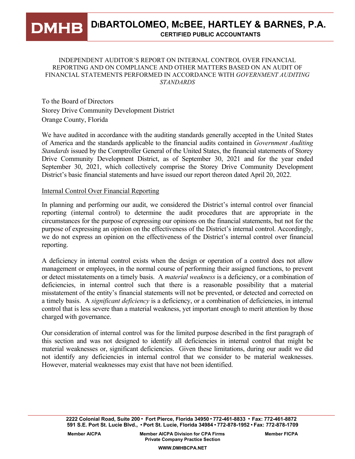#### INDEPENDENT AUDITOR'S REPORT ON INTERNAL CONTROL OVER FINANCIAL REPORTING AND ON COMPLIANCE AND OTHER MATTERS BASED ON AN AUDIT OF FINANCIAL STATEMENTS PERFORMED IN ACCORDANCE WITH *GOVERNMENT AUDITING STANDARDS*

To the Board of Directors Storey Drive Community Development District Orange County, Florida

We have audited in accordance with the auditing standards generally accepted in the United States of America and the standards applicable to the financial audits contained in *Government Auditing Standards* issued by the Comptroller General of the United States, the financial statements of Storey Drive Community Development District, as of September 30, 2021 and for the year ended September 30, 2021, which collectively comprise the Storey Drive Community Development District's basic financial statements and have issued our report thereon dated April 20, 2022.

## Internal Control Over Financial Reporting

In planning and performing our audit, we considered the District's internal control over financial reporting (internal control) to determine the audit procedures that are appropriate in the circumstances for the purpose of expressing our opinions on the financial statements, but not for the purpose of expressing an opinion on the effectiveness of the District's internal control. Accordingly, we do not express an opinion on the effectiveness of the District's internal control over financial reporting.

A deficiency in internal control exists when the design or operation of a control does not allow management or employees, in the normal course of performing their assigned functions, to prevent or detect misstatements on a timely basis. A *material weakness* is a deficiency, or a combination of deficiencies, in internal control such that there is a reasonable possibility that a material misstatement of the entity's financial statements will not be prevented, or detected and corrected on a timely basis. A *significant deficiency* is a deficiency, or a combination of deficiencies, in internal control that is less severe than a material weakness, yet important enough to merit attention by those charged with governance.

Our consideration of internal control was for the limited purpose described in the first paragraph of this section and was not designed to identify all deficiencies in internal control that might be material weaknesses or, significant deficiencies. Given these limitations, during our audit we did not identify any deficiencies in internal control that we consider to be material weaknesses. However, material weaknesses may exist that have not been identified.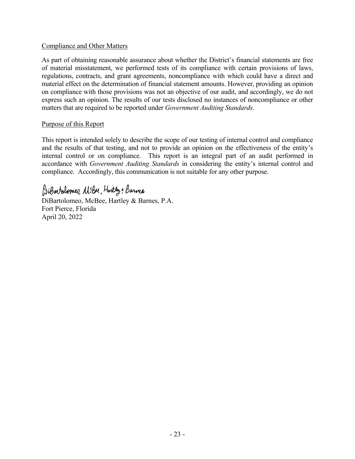## Compliance and Other Matters

As part of obtaining reasonable assurance about whether the District's financial statements are free of material misstatement, we performed tests of its compliance with certain provisions of laws, regulations, contracts, and grant agreements, noncompliance with which could have a direct and material effect on the determination of financial statement amounts. However, providing an opinion on compliance with those provisions was not an objective of our audit, and accordingly, we do not express such an opinion. The results of our tests disclosed no instances of noncompliance or other matters that are required to be reported under *Government Auditing Standards*.

## Purpose of this Report

This report is intended solely to describe the scope of our testing of internal control and compliance and the results of that testing, and not to provide an opinion on the effectiveness of the entity's internal control or on compliance. This report is an integral part of an audit performed in accordance with *Government Auditing Standards* in considering the entity's internal control and compliance. Accordingly, this communication is not suitable for any other purpose.

SiBartolomeo, MiBu, Hartley: Barres

DiBartolomeo, McBee, Hartley & Barnes, P.A. Fort Pierce, Florida April 20, 2022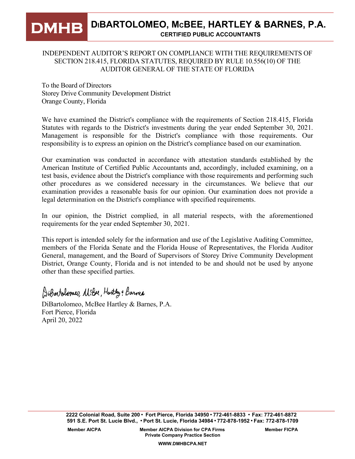**DMHB DIBARTOLOMEO, MCBEE, HARTLEY & BARNES, P.A. CERTIFIED PUBLIC ACCOUNTANTS**

## INDEPENDENT AUDITOR'S REPORT ON COMPLIANCE WITH THE REQUIREMENTS OF SECTION 218.415, FLORIDA STATUTES, REQUIRED BY RULE 10.556(10) OF THE AUDITOR GENERAL OF THE STATE OF FLORIDA

To the Board of Directors Storey Drive Community Development District Orange County, Florida

We have examined the District's compliance with the requirements of Section 218.415, Florida Statutes with regards to the District's investments during the year ended September 30, 2021. Management is responsible for the District's compliance with those requirements. Our responsibility is to express an opinion on the District's compliance based on our examination.

Our examination was conducted in accordance with attestation standards established by the American Institute of Certified Public Accountants and, accordingly, included examining, on a test basis, evidence about the District's compliance with those requirements and performing such other procedures as we considered necessary in the circumstances. We believe that our examination provides a reasonable basis for our opinion. Our examination does not provide a legal determination on the District's compliance with specified requirements.

In our opinion, the District complied, in all material respects, with the aforementioned requirements for the year ended September 30, 2021.

This report is intended solely for the information and use of the Legislative Auditing Committee, members of the Florida Senate and the Florida House of Representatives, the Florida Auditor General, management, and the Board of Supervisors of Storey Drive Community Development District, Orange County, Florida and is not intended to be and should not be used by anyone other than these specified parties.

AiBartolomeo, MiBu, Hartley & Barred

DiBartolomeo, McBee Hartley & Barnes, P.A. Fort Pierce, Florida April 20, 2022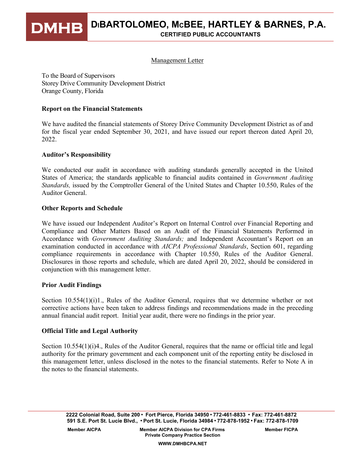**DMHB DIBARTOLOMEO, MCBEE, HARTLEY & BARNES, P.A. CERTIFIED PUBLIC ACCOUNTANTS**

#### Management Letter

To the Board of Supervisors Storey Drive Community Development District Orange County, Florida

#### **Report on the Financial Statements**

We have audited the financial statements of Storey Drive Community Development District as of and for the fiscal year ended September 30, 2021, and have issued our report thereon dated April 20, 2022.

#### **Auditor's Responsibility**

We conducted our audit in accordance with auditing standards generally accepted in the United States of America; the standards applicable to financial audits contained in *Government Auditing Standards,* issued by the Comptroller General of the United States and Chapter 10.550, Rules of the Auditor General.

#### **Other Reports and Schedule**

We have issued our Independent Auditor's Report on Internal Control over Financial Reporting and Compliance and Other Matters Based on an Audit of the Financial Statements Performed in Accordance with *Government Auditing Standards;* and Independent Accountant's Report on an examination conducted in accordance with *AICPA Professional Standards*, Section 601, regarding compliance requirements in accordance with Chapter 10.550, Rules of the Auditor General. Disclosures in those reports and schedule, which are dated April 20, 2022, should be considered in conjunction with this management letter.

#### **Prior Audit Findings**

Section 10.554(1)(i)1., Rules of the Auditor General, requires that we determine whether or not corrective actions have been taken to address findings and recommendations made in the preceding annual financial audit report. Initial year audit, there were no findings in the prior year.

#### **Official Title and Legal Authority**

Section 10.554(1)(i)4., Rules of the Auditor General, requires that the name or official title and legal authority for the primary government and each component unit of the reporting entity be disclosed in this management letter, unless disclosed in the notes to the financial statements. Refer to Note A in the notes to the financial statements.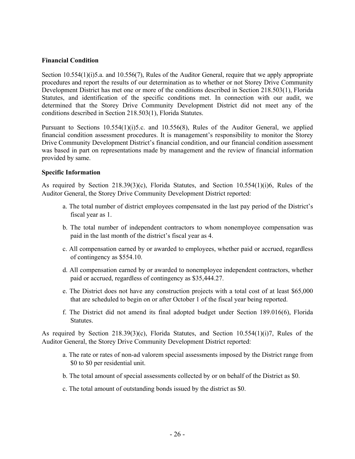#### **Financial Condition**

Section 10.554(1)(i)5.a. and 10.556(7), Rules of the Auditor General, require that we apply appropriate procedures and report the results of our determination as to whether or not Storey Drive Community Development District has met one or more of the conditions described in Section 218.503(1), Florida Statutes, and identification of the specific conditions met. In connection with our audit, we determined that the Storey Drive Community Development District did not meet any of the conditions described in Section 218.503(1), Florida Statutes.

Pursuant to Sections 10.554(1)(i)5.c. and 10.556(8), Rules of the Auditor General, we applied financial condition assessment procedures. It is management's responsibility to monitor the Storey Drive Community Development District's financial condition, and our financial condition assessment was based in part on representations made by management and the review of financial information provided by same.

#### **Specific Information**

As required by Section 218.39(3)(c), Florida Statutes, and Section 10.554(1)(i)6, Rules of the Auditor General, the Storey Drive Community Development District reported:

- a. The total number of district employees compensated in the last pay period of the District's fiscal year as 1.
- b. The total number of independent contractors to whom nonemployee compensation was paid in the last month of the district's fiscal year as 4.
- c. All compensation earned by or awarded to employees, whether paid or accrued, regardless of contingency as \$554.10.
- d. All compensation earned by or awarded to nonemployee independent contractors, whether paid or accrued, regardless of contingency as \$35,444.27.
- e. The District does not have any construction projects with a total cost of at least \$65,000 that are scheduled to begin on or after October 1 of the fiscal year being reported.
- f. The District did not amend its final adopted budget under Section 189.016(6), Florida Statutes.

As required by Section 218.39(3)(c), Florida Statutes, and Section 10.554(1)(i)7, Rules of the Auditor General, the Storey Drive Community Development District reported:

- a. The rate or rates of non-ad valorem special assessments imposed by the District range from \$0 to \$0 per residential unit.
- b. The total amount of special assessments collected by or on behalf of the District as \$0.
- c. The total amount of outstanding bonds issued by the district as \$0.